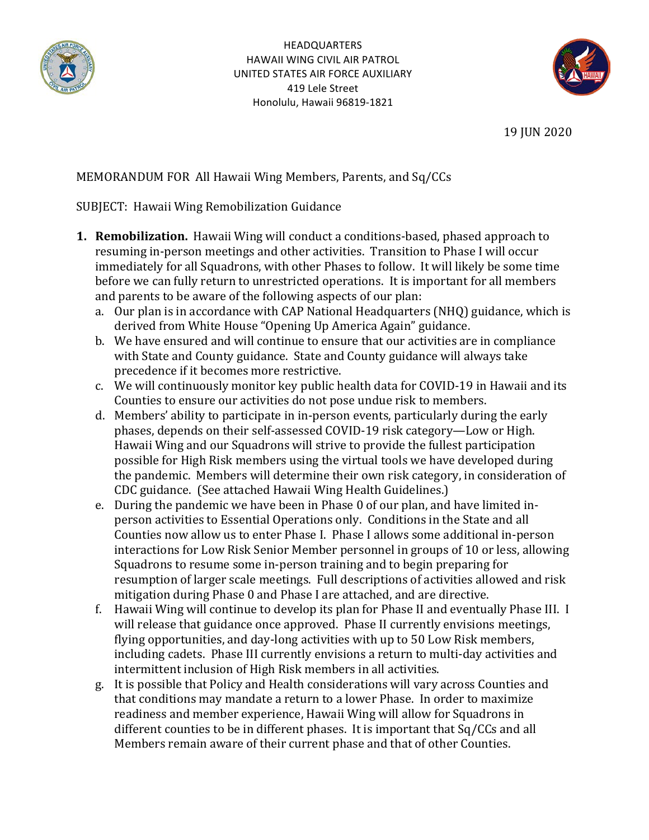



19 JUN 2020

# MEMORANDUM FOR All Hawaii Wing Members, Parents, and Sq/CCs

# SUBJECT: Hawaii Wing Remobilization Guidance

- **1. Remobilization.** Hawaii Wing will conduct a conditions-based, phased approach to resuming in-person meetings and other activities. Transition to Phase I will occur immediately for all Squadrons, with other Phases to follow. It will likely be some time before we can fully return to unrestricted operations. It is important for all members and parents to be aware of the following aspects of our plan:
	- a. Our plan is in accordance with CAP National Headquarters (NHQ) guidance, which is derived from White House "Opening Up America Again" guidance.
	- b. We have ensured and will continue to ensure that our activities are in compliance with State and County guidance. State and County guidance will always take precedence if it becomes more restrictive.
	- c. We will continuously monitor key public health data for COVID-19 in Hawaii and its Counties to ensure our activities do not pose undue risk to members.
	- d. Members' ability to participate in in-person events, particularly during the early phases, depends on their self-assessed COVID-19 risk category—Low or High. Hawaii Wing and our Squadrons will strive to provide the fullest participation possible for High Risk members using the virtual tools we have developed during the pandemic. Members will determine their own risk category, in consideration of CDC guidance. (See attached Hawaii Wing Health Guidelines.)
	- e. During the pandemic we have been in Phase 0 of our plan, and have limited inperson activities to Essential Operations only. Conditions in the State and all Counties now allow us to enter Phase I. Phase I allows some additional in-person interactions for Low Risk Senior Member personnel in groups of 10 or less, allowing Squadrons to resume some in-person training and to begin preparing for resumption of larger scale meetings. Full descriptions of activities allowed and risk mitigation during Phase 0 and Phase I are attached, and are directive.
	- f. Hawaii Wing will continue to develop its plan for Phase II and eventually Phase III. I will release that guidance once approved. Phase II currently envisions meetings, flying opportunities, and day-long activities with up to 50 Low Risk members, including cadets. Phase III currently envisions a return to multi-day activities and intermittent inclusion of High Risk members in all activities.
	- g. It is possible that Policy and Health considerations will vary across Counties and that conditions may mandate a return to a lower Phase. In order to maximize readiness and member experience, Hawaii Wing will allow for Squadrons in different counties to be in different phases. It is important that Sq/CCs and all Members remain aware of their current phase and that of other Counties.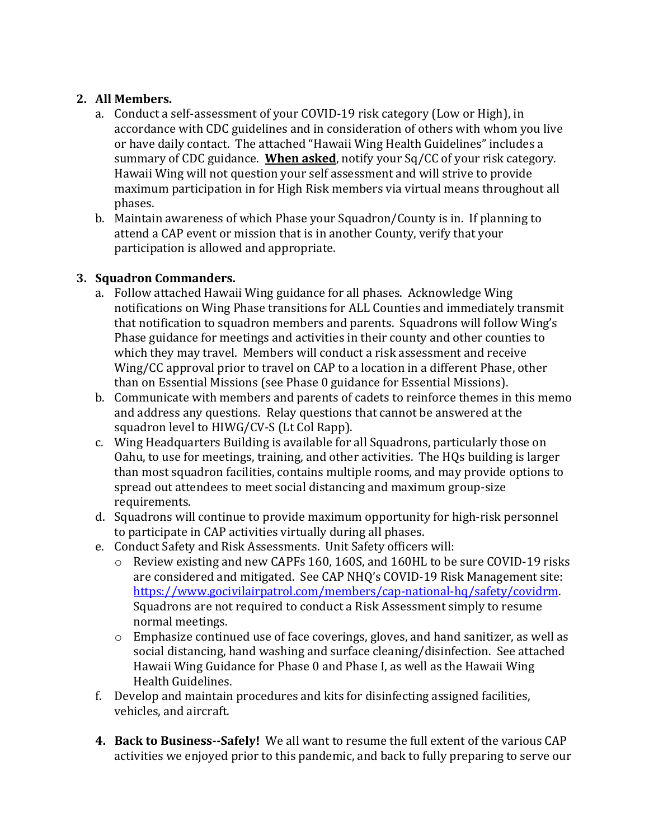# 2. **All Members.**

- a. Conduct a self-assessment of your COVID-19 risk category (Low or High), in accordance with CDC guidelines and in consideration of others with whom you live or have daily contact. The attached "Hawaii Wing Health Guidelines" includes a summary of CDC guidance. **When asked**, notify your Sq/CC of your risk category. Hawaii Wing will not question your self assessment and will strive to provide maximum participation in for High Risk members via virtual means throughout all phases.
- b. Maintain awareness of which Phase your Squadron/County is in. If planning to attend a CAP event or mission that is in another County, verify that your participation is allowed and appropriate.

# **3. Squadron Commanders.**

- a. Follow attached Hawaii Wing guidance for all phases. Acknowledge Wing notifications on Wing Phase transitions for ALL Counties and immediately transmit that notification to squadron members and parents. Squadrons will follow Wing's Phase guidance for meetings and activities in their county and other counties to which they may travel. Members will conduct a risk assessment and receive Wing/CC approval prior to travel on CAP to a location in a different Phase, other than on Essential Missions (see Phase 0 guidance for Essential Missions).
- b. Communicate with members and parents of cadets to reinforce themes in this memo and address any questions. Relay questions that cannot be answered at the squadron level to HIWG/CV-S (Lt Col Rapp).
- c. Wing Headquarters Building is available for all Squadrons, particularly those on Oahu, to use for meetings, training, and other activities. The HQs building is larger than most squadron facilities, contains multiple rooms, and may provide options to spread out attendees to meet social distancing and maximum group-size requirements.
- d. Squadrons will continue to provide maximum opportunity for high-risk personnel to participate in CAP activities virtually during all phases.
- e. Conduct Safety and Risk Assessments. Unit Safety officers will:
	- $\circ$  Review existing and new CAPFs 160, 160S, and 160HL to be sure COVID-19 risks are considered and mitigated. See CAP NHQ's COVID-19 Risk Management site: https://www.gocivilairpatrol.com/members/cap-national-hq/safety/covidrm. Squadrons are not required to conduct a Risk Assessment simply to resume normal meetings.
	- $\circ$  Emphasize continued use of face coverings, gloves, and hand sanitizer, as well as social distancing, hand washing and surface cleaning/disinfection. See attached Hawaii Wing Guidance for Phase 0 and Phase I, as well as the Hawaii Wing Health Guidelines.
- f. Develop and maintain procedures and kits for disinfecting assigned facilities, vehicles, and aircraft.
- **4.** Back to Business--Safely! We all want to resume the full extent of the various CAP activities we enjoyed prior to this pandemic, and back to fully preparing to serve our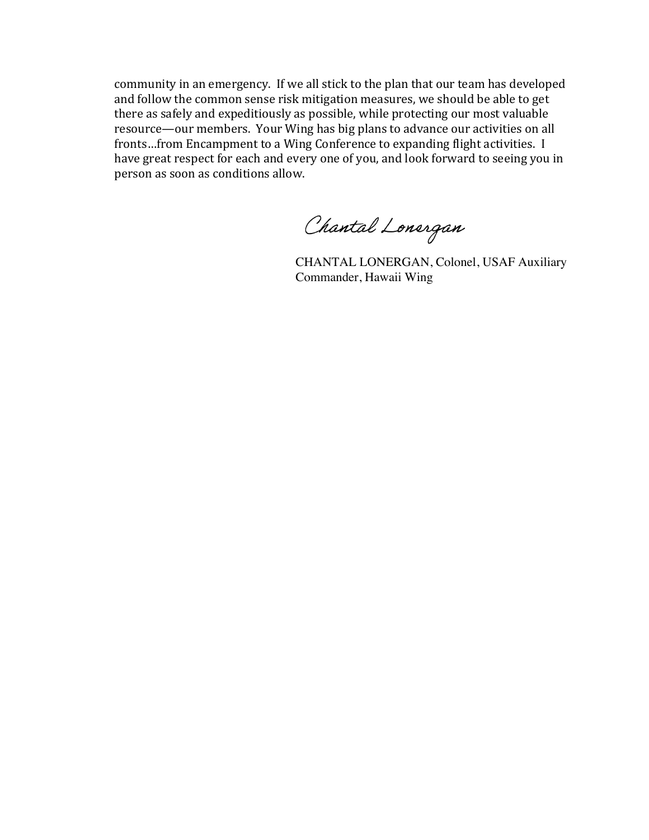community in an emergency. If we all stick to the plan that our team has developed and follow the common sense risk mitigation measures, we should be able to get there as safely and expeditiously as possible, while protecting our most valuable resource—our members. Your Wing has big plans to advance our activities on all fronts...from Encampment to a Wing Conference to expanding flight activities. I have great respect for each and every one of you, and look forward to seeing you in person as soon as conditions allow.

Chantal Lonergan

CHANTAL LONERGAN, Colonel, USAF Auxiliary Commander, Hawaii Wing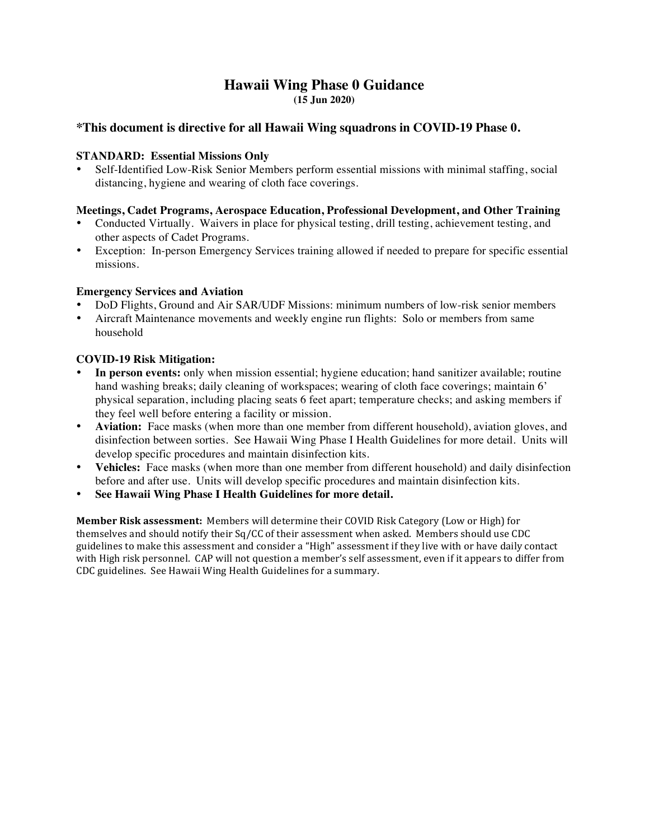## **Hawaii Wing Phase 0 Guidance (15 Jun 2020)**

## **\*This document is directive for all Hawaii Wing squadrons in COVID-19 Phase 0.**

#### **STANDARD: Essential Missions Only**

 Self-Identified Low-Risk Senior Members perform essential missions with minimal staffing, social distancing, hygiene and wearing of cloth face coverings.

#### **Meetings, Cadet Programs, Aerospace Education, Professional Development, and Other Training**

- Conducted Virtually. Waivers in place for physical testing, drill testing, achievement testing, and other aspects of Cadet Programs.
- Exception: In-person Emergency Services training allowed if needed to prepare for specific essential missions.

#### **Emergency Services and Aviation**

- DoD Flights, Ground and Air SAR/UDF Missions: minimum numbers of low-risk senior members
- Aircraft Maintenance movements and weekly engine run flights: Solo or members from same household

#### **COVID-19 Risk Mitigation:**

- **In person events:** only when mission essential; hygiene education; hand sanitizer available; routine hand washing breaks; daily cleaning of workspaces; wearing of cloth face coverings; maintain 6' physical separation, including placing seats 6 feet apart; temperature checks; and asking members if they feel well before entering a facility or mission.
- **Aviation:** Face masks (when more than one member from different household), aviation gloves, and disinfection between sorties. See Hawaii Wing Phase I Health Guidelines for more detail. Units will develop specific procedures and maintain disinfection kits.
- **Vehicles:** Face masks (when more than one member from different household) and daily disinfection before and after use. Units will develop specific procedures and maintain disinfection kits.
- **See Hawaii Wing Phase I Health Guidelines for more detail.**

**Member Risk assessment:** Members will determine their COVID Risk Category (Low or High) for themselves and should notify their  $Sq/CC$  of their assessment when asked. Members should use  $CDC$ guidelines to make this assessment and consider a "High" assessment if they live with or have daily contact with High risk personnel. CAP will not question a member's self assessment, even if it appears to differ from CDC guidelines. See Hawaii Wing Health Guidelines for a summary.